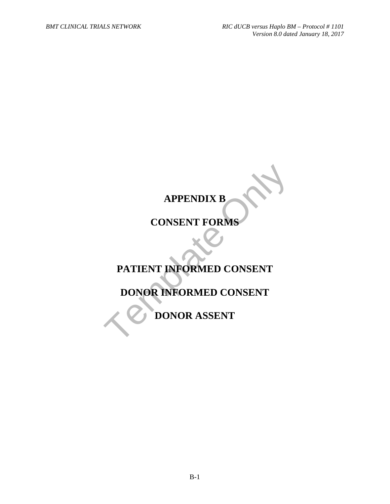# **APPENDIX B**

# **CONSENT FORMS**

# APPENDIX B<br>
CONSENT FORMS<br>
PATIENT INFORMED CONSENT<br>
DONOR INFORMED CONSENT<br>
DONOR ASSENT **PATIENT INFORMED CONSENT**

# **DONOR INFORMED CONSENT**

**DONOR ASSENT**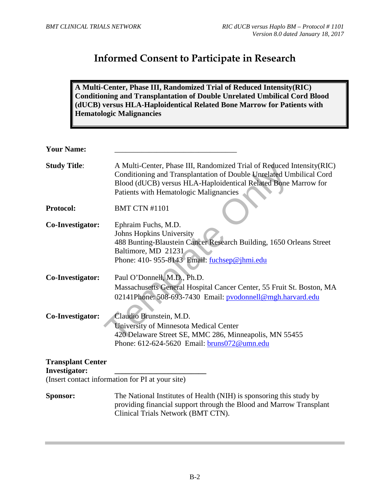# **Informed Consent to Participate in Research**

**A Multi-Center, Phase III, Randomized Trial of Reduced Intensity(RIC) Conditioning and Transplantation of Double Unrelated Umbilical Cord Blood (dUCB) versus HLA-Haploidentical Related Bone Marrow for Patients with Hematologic Malignancies** 

| <b>Your Name:</b>                                |                                                                                                                                                                                                                                                           |
|--------------------------------------------------|-----------------------------------------------------------------------------------------------------------------------------------------------------------------------------------------------------------------------------------------------------------|
| <b>Study Title:</b>                              | A Multi-Center, Phase III, Randomized Trial of Reduced Intensity (RIC)<br>Conditioning and Transplantation of Double Unrelated Umbilical Cord<br>Blood (dUCB) versus HLA-Haploidentical Related Bone Marrow for<br>Patients with Hematologic Malignancies |
| <b>Protocol:</b>                                 | <b>BMT CTN #1101</b>                                                                                                                                                                                                                                      |
| Co-Investigator:                                 | Ephraim Fuchs, M.D.<br>Johns Hopkins University<br>488 Bunting-Blaustein Cancer Research Building, 1650 Orleans Street<br>Baltimore, MD 21231<br>Phone: 410-955-8143 Email: fuchsep@jhmi.edu                                                              |
| Co-Investigator:                                 | Paul O'Donnell, M.D., Ph.D.<br>Massachusetts General Hospital Cancer Center, 55 Fruit St. Boston, MA<br>02141Phone: 508-693-7430 Email: pvodonnell@mgh.harvard.edu                                                                                        |
| Co-Investigator:                                 | Claudio Brunstein, M.D.<br>University of Minnesota Medical Center<br>420 Delaware Street SE, MMC 286, Minneapolis, MN 55455<br>Phone: 612-624-5620 Email: bruns072@umn.edu                                                                                |
| <b>Transplant Center</b><br><b>Investigator:</b> | (Insert contact information for PI at your site)                                                                                                                                                                                                          |
|                                                  |                                                                                                                                                                                                                                                           |
| Sponsor:                                         | The National Institutes of Health (NIH) is sponsoring this study by<br>providing financial support through the Blood and Marrow Transplant<br>Clinical Trials Network (BMT CTN).                                                                          |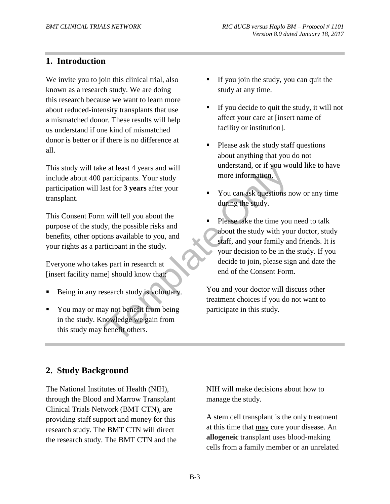## **1. Introduction**

We invite you to join this clinical trial, also known as a research study. We are doing this research because we want to learn more about reduced-intensity transplants that use a mismatched donor. These results will help us understand if one kind of mismatched donor is better or if there is no difference at all.

This study will take at least 4 years and will include about 400 participants. Your study participation will last for **3 years** after your transplant.

This Consent Form will tell you about the purpose of the study, the possible risks and benefits, other options available to you, and your rights as a participant in the study.

Everyone who takes part in research at [insert facility name] should know that:

- Being in any research study is voluntary.
- You may or may not benefit from being in the study. Knowledge we gain from this study may benefit others.
- If you join the study, you can quit the study at any time.
- If you decide to quit the study, it will not affect your care at [insert name of facility or institution].
- Please ask the study staff questions about anything that you do not understand, or if you would like to have more information.
- You can ask questions now or any time during the study.
- Example to the the set of the Sheefit of these gain from the set of the sheeft of the sheeft of the sheeft of the sheeft of the sheeft of the sheeft of the sheeft of the sheeft of the sheeft of the sheeft of the sheeft of Please take the time you need to talk about the study with your doctor, study staff, and your family and friends. It is your decision to be in the study. If you decide to join, please sign and date the end of the Consent Form.

You and your doctor will discuss other treatment choices if you do not want to participate in this study*.*

## **2. Study Background**

The National Institutes of Health (NIH), through the Blood and Marrow Transplant Clinical Trials Network (BMT CTN), are providing staff support and money for this research study. The BMT CTN will direct the research study. The BMT CTN and the NIH will make decisions about how to manage the study.

A stem cell transplant is the only treatment at this time that may cure your disease. An **allogeneic** transplant uses blood-making cells from a family member or an unrelated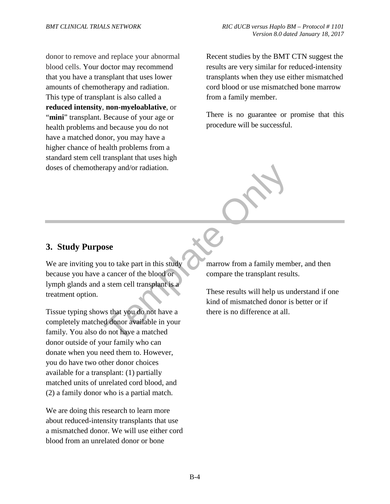donor to remove and replace your abnormal blood cells. Your doctor may recommend that you have a transplant that uses lower amounts of chemotherapy and radiation. This type of transplant is also called a **reduced intensity**, **non-myeloablative**, or "mini" transplant. Because of your age or health problems and because you do not have a matched donor, you may have a higher chance of health problems from a standard stem cell transplant that uses high doses of chemotherapy and/or radiation.

Recent studies by the BMT CTN suggest the results are very similar for reduced-intensity transplants when they use either mismatched cord blood or use mismatched bone marrow from a family member.

There is no guarantee or promise that this procedure will be successful.

**3. Study Purpose** 

The part of the blood of the blood of a star cell transplant is a<br>a cancer of the blood of a stem cell transplant is a<br>a stem cell transplant is a<br>time of miss star of the blood of a stem cell transplant is a<br>These results We are inviting you to take part in this study because you have a cancer of the blood or lymph glands and a stem cell transplant is a treatment option.

Tissue typing shows that you do not have a completely matched donor available in your family. You also do not have a matched donor outside of your family who can donate when you need them to. However, you do have two other donor choices available for a transplant: (1) partially matched units of unrelated cord blood, and (2) a family donor who is a partial match.

We are doing this research to learn more about reduced-intensity transplants that use a mismatched donor. We will use either cord blood from an unrelated donor or bone

marrow from a family member, and then compare the transplant results.

These results will help us understand if one kind of mismatched donor is better or if there is no difference at all.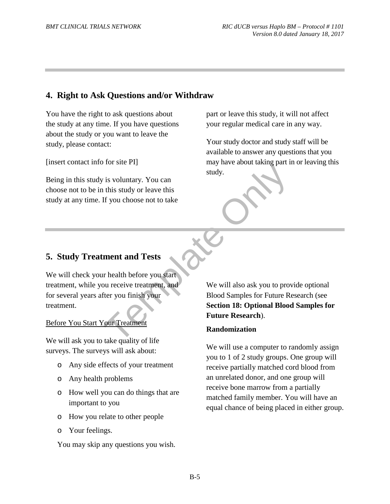## **4. Right to Ask Questions and/or Withdraw**

You have the right to ask questions about the study at any time. If you have questions about the study or you want to leave the study, please contact:

[insert contact info for site PI]

Being in this study is voluntary. You can choose not to be in this study or leave this study at any time. If you choose not to take part or leave this study, it will not affect your regular medical care in any way.

Your study doctor and study staff will be available to answer any questions that you may have about taking part in or leaving this study.

## **5. Study Treatment and Tests**

We will check your health before you start treatment, while you receive treatment, and for several years after you finish your treatment.

#### Before You Start Your Treatment

We will ask you to take quality of life surveys. The surveys will ask about:

- o Any side effects of your treatment
- o Any health problems
- o How well you can do things that are important to you
- o How you relate to other people
- o Your feelings.

You may skip any questions you wish.

Fraction 18: Deptional Blood<br>
Surface Only and this study or leave this<br>
If you choose not to take<br>
If you choose not to take<br>
The produce the start<br>
The ment and Tests<br>
The produce of the Section 18: Optional Blood<br>
Futur We will also ask you to provide optional Blood Samples for Future Research (see **Section 18: Optional Blood Samples for Future Research**).

#### **Randomization**

We will use a computer to randomly assign you to 1 of 2 study groups. One group will receive partially matched cord blood from an unrelated donor, and one group will receive bone marrow from a partially matched family member. You will have an equal chance of being placed in either group.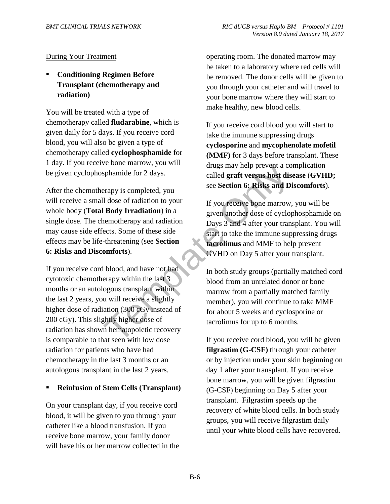#### During Your Treatment

 **Conditioning Regimen Before Transplant (chemotherapy and radiation)**

You will be treated with a type of chemotherapy called **fludarabine**, which is given daily for 5 days. If you receive cord blood, you will also be given a type of chemotherapy called **cyclophosphamide** for 1 day. If you receive bone marrow, you will be given cyclophosphamide for 2 days.

After the chemotherapy is completed, you will receive a small dose of radiation to your whole body (**Total Body Irradiation**) in a single dose. The chemotherapy and radiation may cause side effects. Some of these side effects may be life-threatening (see **Section 6: Risks and Discomforts**).

Fraction of Sphanide for 2 days.<br>
Temple for 2 days and the sealed graft versus host distant of the sealed graft versus host distant particle in the sealed graft versus host distant to the Sealed The memotherapy and radiat If you receive cord blood, and have not had cytotoxic chemotherapy within the last 3 months or an autologous transplant within the last 2 years, you will receive a slightly higher dose of radiation (300 cGy instead of 200 cGy). This slightly higher dose of radiation has shown hematopoietic recovery is comparable to that seen with low dose radiation for patients who have had chemotherapy in the last 3 months or an autologous transplant in the last 2 years.

#### **Reinfusion of Stem Cells (Transplant)**

On your transplant day, if you receive cord blood, it will be given to you through your catheter like a blood transfusion. If you receive bone marrow, your family donor will have his or her marrow collected in the operating room. The donated marrow may be taken to a laboratory where red cells will be removed. The donor cells will be given to you through your catheter and will travel to your bone marrow where they will start to make healthy, new blood cells.

If you receive cord blood you will start to take the immune suppressing drugs **cyclosporine** and **mycophenolate mofetil (MMF)** for 3 days before transplant. These drugs may help prevent a complication called **graft versus host disease** (**GVHD;**  see **Section 6: Risks and Discomforts**).

If you receive bone marrow, you will be given another dose of cyclophosphamide on Days 3 and 4 after your transplant. You will start to take the immune suppressing drugs **tacrolimus** and MMF to help prevent GVHD on Day 5 after your transplant.

In both study groups (partially matched cord blood from an unrelated donor or bone marrow from a partially matched family member), you will continue to take MMF for about 5 weeks and cyclosporine or tacrolimus for up to 6 months.

If you receive cord blood, you will be given **filgrastim (G-CSF)** through your catheter or by injection under your skin beginning on day 1 after your transplant. If you receive bone marrow, you will be given filgrastim (G-CSF) beginning on Day 5 after your transplant. Filgrastim speeds up the recovery of white blood cells. In both study groups, you will receive filgrastim daily until your white blood cells have recovered.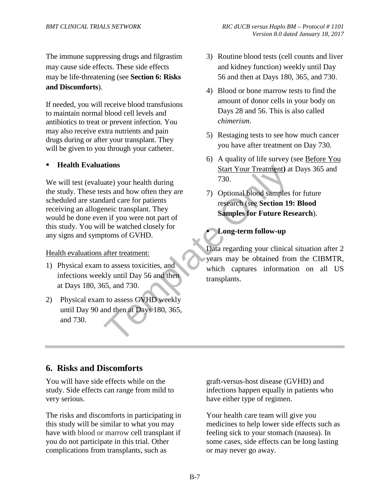The immune suppressing drugs and filgrastim may cause side effects. These side effects may be life-threatening (see **Section 6: Risks and Discomforts**).

If needed, you will receive blood transfusions to maintain normal blood cell levels and antibiotics to treat or prevent infection. You may also receive extra nutrients and pain drugs during or after your transplant. They will be given to you through your catheter.

#### **Health Evaluations**

Start Your Treatment) at<br>
atte) your health during<br>
sts and how often they are<br>
at 70.0 Through a blood samples<br>
dard care for patients<br>
research (see **Section 19**<br>
and if you were not part of<br>
1 be watched closely for<br>
to We will test (evaluate) your health during the study. These tests and how often they are scheduled are standard care for patients receiving an allogeneic transplant. They would be done even if you were not part of this study. You will be watched closely for any signs and symptoms of GVHD.

#### Health evaluations after treatment:

- 1) Physical exam to assess toxicities, and infections weekly until Day 56 and then at Days 180, 365, and 730.
- 2) Physical exam to assess GVHD weekly until Day 90 and then at Days 180, 365, and 730.
- 3) Routine blood tests (cell counts and liver and kidney function) weekly until Day 56 and then at Days 180, 365, and 730.
- 4) Blood or bone marrow tests to find the amount of donor cells in your body on Days 28 and 56. This is also called *chimerism*.
- 5) Restaging tests to see how much cancer you have after treatment on Day 730.
- 6) A quality of life survey (see Before You Start Your Treatment**)** at Days 365 and 730.
- 7) Optional blood samples for future research (see **Section 19: Blood Samples for Future Research**).

#### **Long-term follow-up**

Data regarding your clinical situation after 2 years may be obtained from the CIBMTR, which captures information on all US transplants.

## **6. Risks and Discomforts**

You will have side effects while on the study. Side effects can range from mild to very serious.

The risks and discomforts in participating in this study will be similar to what you may have with blood or marrow cell transplant if you do not participate in this trial. Other complications from transplants, such as

graft-versus-host disease (GVHD) and infections happen equally in patients who have either type of regimen.

Your health care team will give you medicines to help lower side effects such as feeling sick to your stomach (nausea). In some cases, side effects can be long lasting or may never go away.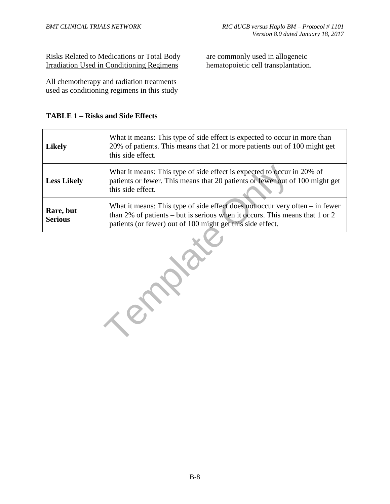Risks Related to Medications or Total Body Irradiation Used in Conditioning Regimens

All chemotherapy and radiation treatments used as conditioning regimens in this study

#### **TABLE 1 – Risks and Side Effects**

| <b>Likely</b>               | What it means: This type of side effect is expected to occur in more than<br>20% of patients. This means that 21 or more patients out of 100 might get<br>this side effect.                                                 |
|-----------------------------|-----------------------------------------------------------------------------------------------------------------------------------------------------------------------------------------------------------------------------|
| <b>Less Likely</b>          | What it means: This type of side effect is expected to occur in 20% of<br>patients or fewer. This means that 20 patients or fewer out of 100 might get<br>this side effect.                                                 |
| Rare, but<br><b>Serious</b> | What it means: This type of side effect does not occur very often $-$ in fewer<br>than 2% of patients – but is serious when it occurs. This means that 1 or 2<br>patients (or fewer) out of 100 might get this side effect. |

Template 1

are commonly used in allogeneic hematopoietic cell transplantation.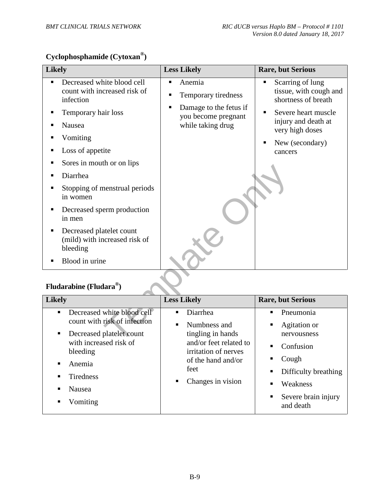# **Cyclophosphamide (Cytoxan®)**

| <b>Likely</b>                                                                                                                                                                                                                                                                                                                                                                                             | <b>Less Likely</b>                                                                                            | <b>Rare, but Serious</b>                                                                                                                                                   |
|-----------------------------------------------------------------------------------------------------------------------------------------------------------------------------------------------------------------------------------------------------------------------------------------------------------------------------------------------------------------------------------------------------------|---------------------------------------------------------------------------------------------------------------|----------------------------------------------------------------------------------------------------------------------------------------------------------------------------|
| Decreased white blood cell<br>count with increased risk of<br>infection<br>Temporary hair loss<br>٠<br>Nausea<br>Vomiting<br>■<br>Loss of appetite<br>п<br>Sores in mouth or on lips<br>п<br>Diarrhea<br>п<br>Stopping of menstrual periods<br>п<br>in women<br>Decreased sperm production<br>in men<br>Decreased platelet count<br>٠<br>(mild) with increased risk of<br>bleeding<br>Blood in urine<br>٠ | Anemia<br>П<br>Temporary tiredness<br>٠<br>Damage to the fetus if<br>you become pregnant<br>while taking drug | Scarring of lung<br>П<br>tissue, with cough and<br>shortness of breath<br>Severe heart muscle<br>п<br>injury and death at<br>very high doses<br>New (secondary)<br>cancers |
| Fludarabine (Fludara®)                                                                                                                                                                                                                                                                                                                                                                                    |                                                                                                               |                                                                                                                                                                            |
| <b>Likely</b>                                                                                                                                                                                                                                                                                                                                                                                             | <b>Less Likely</b>                                                                                            | <b>Rare, but Serious</b>                                                                                                                                                   |
| Decreased white blood cell<br>п                                                                                                                                                                                                                                                                                                                                                                           | Diarrhea<br>$\blacksquare$                                                                                    | Pneumonia<br>$\blacksquare$                                                                                                                                                |
| count with risk of infection                                                                                                                                                                                                                                                                                                                                                                              | Numbness and                                                                                                  | Agitation or                                                                                                                                                               |
| Decreased platelet count<br>with increased risk of                                                                                                                                                                                                                                                                                                                                                        | tingling in hands<br>and/or feet related to                                                                   | nervousness                                                                                                                                                                |

# **Fludarabine (Fludara®)**

| <b>Likely</b>                                                                                                                                                                                                                 | <b>Less Likely</b>                                                                                                                                           | <b>Rare, but Serious</b>                                                                                                                                   |
|-------------------------------------------------------------------------------------------------------------------------------------------------------------------------------------------------------------------------------|--------------------------------------------------------------------------------------------------------------------------------------------------------------|------------------------------------------------------------------------------------------------------------------------------------------------------------|
| Decreased white blood cell<br>$\blacksquare$<br>count with risk of infection<br>Decreased platelet count<br>٠<br>with increased risk of<br>bleeding<br>Anemia<br>٠<br><b>Tiredness</b><br><b>Nausea</b><br>٠<br>Vomiting<br>٠ | Diarrhea<br>٠<br>Numbness and<br>tingling in hands<br>and/or feet related to<br>irritation of nerves<br>of the hand and/or<br>feet<br>Changes in vision<br>п | Pneumonia<br>٠<br>Agitation or<br>п<br>nervousness<br>Confusion<br>Cough<br>п<br>Difficulty breathing<br>Weakness<br>Severe brain injury<br>٠<br>and death |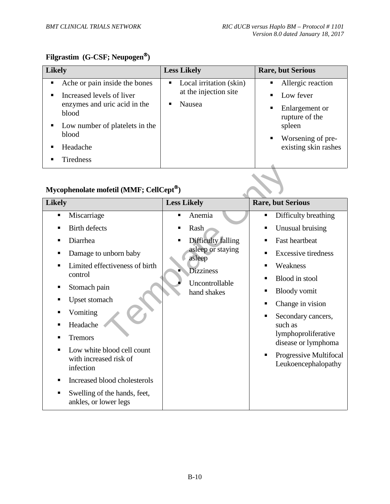# **Filgrastim (G-CSF; Neupogen)**

| <b>Likely</b> |                                       | <b>Less Likely</b>                               | <b>Rare, but Serious</b>              |
|---------------|---------------------------------------|--------------------------------------------------|---------------------------------------|
| ٠.            | Ache or pain inside the bones         | Local irritation (skin)<br>at the injection site | Allergic reaction<br>$\blacksquare$   |
|               | Increased levels of liver             |                                                  | Low fever                             |
|               | enzymes and uric acid in the<br>blood | Nausea                                           | Enlargement or<br>п<br>rupture of the |
|               | Low number of platelets in the        |                                                  | spleen                                |
|               | blood                                 |                                                  | Worsening of pre-                     |
|               | Headache                              |                                                  | existing skin rashes                  |
|               | <b>Tiredness</b>                      |                                                  |                                       |

# **Mycophenolate mofetil (MMF; CellCept)**

| Mycophenolate mofetil (MMF; CellCept®)                |                             |                                            |
|-------------------------------------------------------|-----------------------------|--------------------------------------------|
| <b>Likely</b>                                         | <b>Less Likely</b>          | <b>Rare, but Serious</b>                   |
| Miscarriage                                           | Anemia<br>п                 | Difficulty breathing<br>п                  |
| <b>Birth defects</b>                                  | Rash<br>п                   | Unusual bruising                           |
| Diarrhea                                              | Difficulty falling<br>٠     | <b>Fast heartbeat</b>                      |
| Damage to unborn baby                                 | asleep or staying<br>asleep | <b>Excessive tiredness</b><br>■            |
| Limited effectiveness of birth                        | <b>Dizziness</b>            | Weakness                                   |
| control                                               | Uncontrollable              | Blood in stool<br>■                        |
| Stomach pain                                          | hand shakes                 | <b>Bloody</b> vomit                        |
| Upset stomach                                         |                             | Change in vision                           |
| Vomiting                                              |                             | Secondary cancers,                         |
| Headache                                              |                             | such as                                    |
| <b>Tremors</b>                                        |                             | lymphoproliferative<br>disease or lymphoma |
| Low white blood cell count                            |                             | Progressive Multifocal<br>■                |
| with increased risk of<br>infection                   |                             | Leukoencephalopathy                        |
| Increased blood cholesterols                          |                             |                                            |
| Swelling of the hands, feet,<br>ankles, or lower legs |                             |                                            |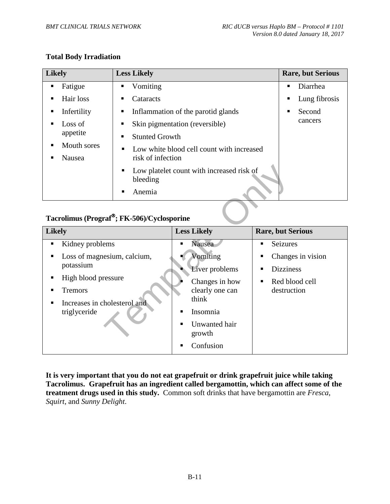#### **Total Body Irradiation**

| <b>Likely</b>    | <b>Less Likely</b>                                         | <b>Rare, but Serious</b> |
|------------------|------------------------------------------------------------|--------------------------|
| Fatigue<br>п     | Vomiting<br>П                                              | Diarrhea<br>п            |
| Hair loss<br>п   | Cataracts<br>п                                             | Lung fibrosis<br>п       |
| Infertility<br>п | Inflammation of the parotid glands<br>П                    | Second<br>п              |
| Loss of<br>п     | Skin pigmentation (reversible)<br>П                        | cancers                  |
| appetite         | <b>Stunted Growth</b><br>п                                 |                          |
| Mouth sores<br>п | Low white blood cell count with increased<br>п             |                          |
| Nausea           | risk of infection                                          |                          |
|                  | Low platelet count with increased risk of<br>п<br>bleeding |                          |
|                  | Anemia                                                     |                          |

## **Tacrolimus (Prograf; FK-506)/Cyclosporine**

| п<br>bleeding<br>٠                                                                         | Low platelet count with increased risk of              |                                       |
|--------------------------------------------------------------------------------------------|--------------------------------------------------------|---------------------------------------|
| Anemia                                                                                     |                                                        |                                       |
|                                                                                            |                                                        |                                       |
| Tacrolimus (Prograf <sup>®</sup> ; FK-506)/Cyclosporine                                    |                                                        |                                       |
| Likely                                                                                     | <b>Less Likely</b>                                     | <b>Rare, but Serious</b>              |
| Kidney problems<br>п                                                                       | Nausea                                                 | Seizures<br>п                         |
| Loss of magnesium, calcium,<br>п<br>potassium                                              | Vomiting<br>Liver problems                             | Changes in vision<br><b>Dizziness</b> |
| High blood pressure<br>п<br><b>Tremors</b><br>Increases in cholesterol and<br>triglyceride | Changes in how<br>clearly one can<br>think<br>Insomnia | Red blood cell<br>٠<br>destruction    |
|                                                                                            | Unwanted hair<br>growth<br>Confusion                   |                                       |

**It is very important that you do not eat grapefruit or drink grapefruit juice while taking Tacrolimus. Grapefruit has an ingredient called bergamottin, which can affect some of the treatment drugs used in this study.** Common soft drinks that have bergamottin are *Fresca*, *Squirt*, and *Sunny Delight*.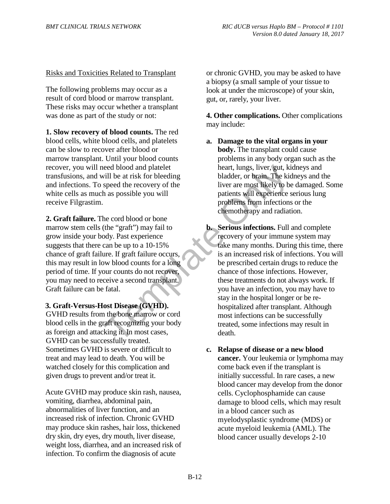#### Risks and Toxicities Related to Transplant

The following problems may occur as a result of cord blood or marrow transplant. These risks may occur whether a transplant was done as part of the study or not:

**1. Slow recovery of blood counts.** The red blood cells, white blood cells, and platelets can be slow to recover after blood or marrow transplant. Until your blood counts recover, you will need blood and platelet transfusions, and will be at risk for bleeding and infections. To speed the recovery of the white cells as much as possible you will receive Filgrastim.

**2. Graft failure.** The cord blood or bone marrow stem cells (the "graft") may fail to grow inside your body. Past experience suggests that there can be up to a 10-15% chance of graft failure. If graft failure occurs, this may result in low blood counts for a long period of time. If your counts do not recover, you may need to receive a second transplant. Graft failure can be fatal.

**3. Graft-Versus-Host Disease (GVHD).**

GVHD results from the bone marrow or cord blood cells in the graft recognizing your body as foreign and attacking it. In most cases, GVHD can be successfully treated. Sometimes GVHD is severe or difficult to treat and may lead to death. You will be watched closely for this complication and given drugs to prevent and/or treat it.

Acute GVHD may produce skin rash, nausea, vomiting, diarrhea, abdominal pain, abnormalities of liver function, and an increased risk of infection. Chronic GVHD may produce skin rashes, hair loss, thickened dry skin, dry eyes, dry mouth, liver disease, weight loss, diarrhea, and an increased risk of infection. To confirm the diagnosis of acute

or chronic GVHD, you may be asked to have a biopsy (a small sample of your tissue to look at under the microscope) of your skin, gut, or, rarely, your liver.

**4. Other complications.** Other complications may include:

- **a. Damage to the vital organs in your body.** The transplant could cause problems in any body organ such as the heart, lungs, liver, gut, kidneys and bladder, or brain. The kidneys and the liver are most likely to be damaged. Some patients will experience serious lung problems from infections or the chemotherapy and radiation.
- dead blood and platelet heart, lungs, liver, gut, kingthend the article of the risk for bleeding the recovery of the speed the recovery of the speed the recovery of the specifies will experience the cord blood or bone of t **b. Serious infections.** Full and complete recovery of your immune system may take many months. During this time, there is an increased risk of infections. You will be prescribed certain drugs to reduce the chance of those infections. However, these treatments do not always work. If you have an infection, you may have to stay in the hospital longer or be rehospitalized after transplant. Although most infections can be successfully treated, some infections may result in death.
	- **c. Relapse of disease or a new blood cancer.** Your leukemia or lymphoma may come back even if the transplant is initially successful. In rare cases, a new blood cancer may develop from the donor cells. Cyclophosphamide can cause damage to blood cells, which may result in a blood cancer such as myelodysplastic syndrome (MDS) or acute myeloid leukemia (AML). The blood cancer usually develops 2-10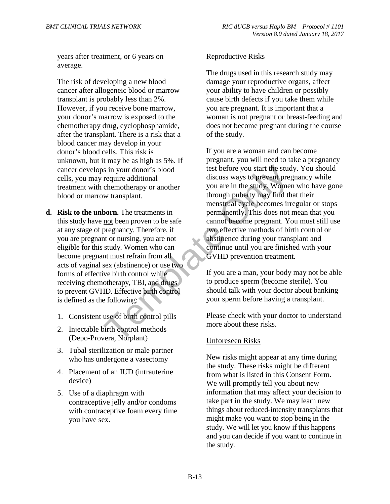years after treatment, or 6 years on average.

The risk of developing a new blood cancer after allogeneic blood or marrow transplant is probably less than 2%. However, if you receive bone marrow, your donor's marrow is exposed to the chemotherapy drug, cyclophosphamide, after the transplant. There is a risk that a blood cancer may develop in your donor's blood cells. This risk is unknown, but it may be as high as 5%. If cancer develops in your donor's blood cells, you may require additional treatment with chemotherapy or another blood or marrow transplant.

- **d. Risk to the unborn.** The treatments in this study have not been proven to be safe at any stage of pregnancy. Therefore, if you are pregnant or nursing, you are not eligible for this study. Women who can become pregnant must refrain from all acts of vaginal sex (abstinence) or use two forms of effective birth control while receiving chemotherapy, TBI, and drugs to prevent GVHD. Effective birth control is defined as the following:
	- 1. Consistent use of birth control pills
	- 2. Injectable birth control methods (Depo-Provera, Norplant)
	- 3. Tubal sterilization or male partner who has undergone a vasectomy
	- 4. Placement of an IUD (intrauterine device)
	- 5. Use of a diaphragm with contraceptive jelly and/or condoms with contraceptive foam every time you have sex.

#### Reproductive Risks

The drugs used in this research study may damage your reproductive organs, affect your ability to have children or possibly cause birth defects if you take them while you are pregnant. It is important that a woman is not pregnant or breast-feeding and does not become pregnant during the course of the study.

Fraction of School and Marinet School and Marinet School and Marinet Chemotherapy or another and discuss ways to prevent pregnant through puberty may find the menstual cycle becomes irrepresent to be safely and the menstua If you are a woman and can become pregnant, you will need to take a pregnancy test before you start the study. You should discuss ways to prevent pregnancy while you are in the study. Women who have gone through puberty may find that their menstrual cycle becomes irregular or stops permanently. This does not mean that you cannot become pregnant. You must still use two effective methods of birth control or abstinence during your transplant and continue until you are finished with your GVHD prevention treatment.

If you are a man, your body may not be able to produce sperm (become sterile). You should talk with your doctor about banking your sperm before having a transplant.

Please check with your doctor to understand more about these risks.

#### Unforeseen Risks

New risks might appear at any time during the study. These risks might be different from what is listed in this Consent Form. We will promptly tell you about new information that may affect your decision to take part in the study. We may learn new things about reduced-intensity transplants that might make you want to stop being in the study. We will let you know if this happens and you can decide if you want to continue in the study.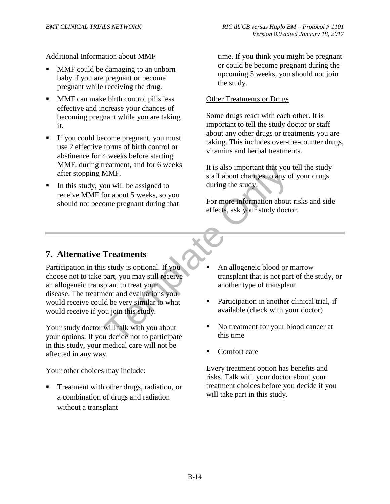Additional Information about MMF

- MMF could be damaging to an unborn baby if you are pregnant or become pregnant while receiving the drug.
- MMF can make birth control pills less effective and increase your chances of becoming pregnant while you are taking it.
- If you could become pregnant, you must use 2 effective forms of birth control or abstinence for 4 weeks before starting MMF, during treatment, and for 6 weeks after stopping MMF.
- In this study, you will be assigned to receive MMF for about 5 weeks, so you should not become pregnant during that

time. If you think you might be pregnant or could be become pregnant during the upcoming 5 weeks, you should not join the study.

#### Other Treatments or Drugs

Some drugs react with each other. It is important to tell the study doctor or staff about any other drugs or treatments you are taking. This includes over-the-counter drugs, vitamins and herbal treatments.

It is also important that you tell the study staff about changes to any of your drugs during the study.

For more information about risks and side effects, ask your study doctor.

## **7. Alternative Treatments**

From that you<br>
ou will be assigned to<br>
ou will be assigned to<br>
for about 5 weeks, so you<br>
ome pregnant during that<br>
For more information about<br>
one pregnant during that<br>
For more information about<br>
effects, ask your study Participation in this study is optional. If you choose not to take part, you may still receive an allogeneic transplant to treat your disease. The treatment and evaluations you would receive could be very similar to what would receive if you join this study.

Your study doctor will talk with you about your options. If you decide not to participate in this study, your medical care will not be affected in any way.

Your other choices may include:

 Treatment with other drugs, radiation, or a combination of drugs and radiation without a transplant

- An allogeneic blood or marrow transplant that is not part of the study, or another type of transplant
- Participation in another clinical trial, if available (check with your doctor)
- No treatment for your blood cancer at this time
- Comfort care

Every treatment option has benefits and risks. Talk with your doctor about your treatment choices before you decide if you will take part in this study.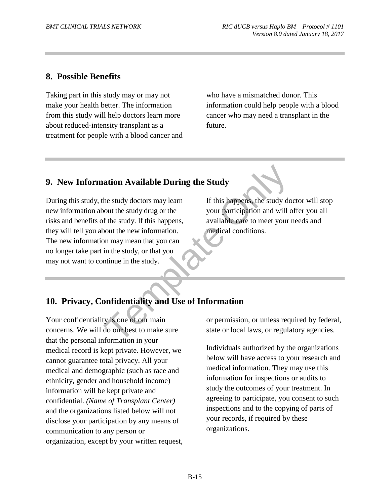## **8. Possible Benefits**

Taking part in this study may or may not make your health better. The information from this study will help doctors learn more about reduced-intensity transplant as a treatment for people with a blood cancer and who have a mismatched donor. This information could help people with a blood cancer who may need a transplant in the future.

## **9. New Information Available During the Study**

**Example 18 Available During the Study**<br>
the study doctors may learn<br>
If this happens, the study do<br>
bout the study. If this happens,<br>
f the study. If this happens,<br>
sout the new information.<br>
In may mean that you can<br>
in During this study, the study doctors may learn new information about the study drug or the risks and benefits of the study. If this happens, they will tell you about the new information. The new information may mean that you can no longer take part in the study, or that you may not want to continue in the study.

If this happens, the study doctor will stop your participation and will offer you all available care to meet your needs and medical conditions.

## **10. Privacy, Confidentiality and Use of Information**

Your confidentiality is one of our main concerns. We will do our best to make sure that the personal information in your medical record is kept private. However, we cannot guarantee total privacy. All your medical and demographic (such as race and ethnicity, gender and household income) information will be kept private and confidential. *(Name of Transplant Center)* and the organizations listed below will not disclose your participation by any means of communication to any person or organization, except by your written request,

or permission, or unless required by federal, state or local laws, or regulatory agencies.

Individuals authorized by the organizations below will have access to your research and medical information. They may use this information for inspections or audits to study the outcomes of your treatment. In agreeing to participate, you consent to such inspections and to the copying of parts of your records, if required by these organizations.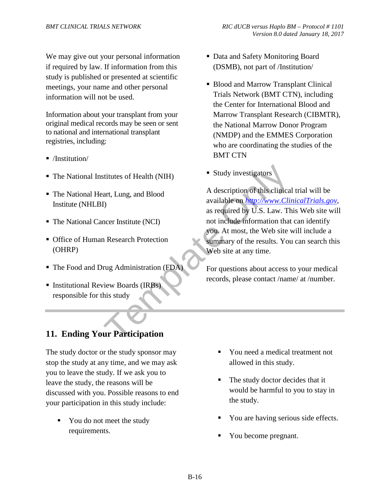We may give out your personal information if required by law. If information from this study is published or presented at scientific meetings, your name and other personal information will not be used.

Information about your transplant from your original medical records may be seen or sent to national and international transplant registries, including:

- /Institution/
- The National Institutes of Health (NIH)
- The National Heart, Lung, and Blood Institute (NHLBI)
- The National Cancer Institute (NCI)
- Office of Human Research Protection (OHRP)
- The Food and Drug Administration (FDA)
- **Institutional Review Boards (IRBs)** responsible for this study

## **11. Ending Your Participation**

The study doctor or the study sponsor may stop the study at any time, and we may ask you to leave the study. If we ask you to leave the study, the reasons will be discussed with you. Possible reasons to end your participation in this study include:

• You do not meet the study requirements.

- Data and Safety Monitoring Board (DSMB), not part of /Institution/
- Blood and Marrow Transplant Clinical Trials Network (BMT CTN), including the Center for International Blood and Marrow Transplant Research (CIBMTR), the National Marrow Donor Program (NMDP) and the EMMES Corporation who are coordinating the studies of the BMT CTN
- Study investigators

Fittutes of Health (NIH)<br>
art, Lung, and Blood<br>
(h)<br>
A description of this clinical<br>
available on *http://www.Clin*<br>
as required by U.S. Law. Th<br>
not include information that<br>
you. At most, the Web site view<br>
1 Research Pr A description of this clinical trial will be available on *http://www.ClinicalTrials.gov*, as required by U.S. Law. This Web site will not include information that can identify you. At most, the Web site will include a summary of the results. You can search this Web site at any time.

For questions about access to your medical records, please contact /name/ at /number.

- You need a medical treatment not allowed in this study.
- The study doctor decides that it would be harmful to you to stay in the study.
- You are having serious side effects.
- You become pregnant.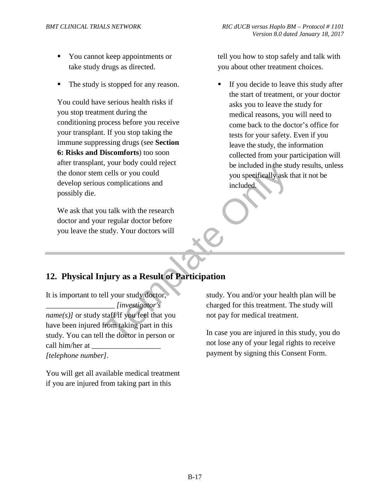- You cannot keep appointments or take study drugs as directed.
- The study is stopped for any reason.

You could have serious health risks if you stop treatment during the conditioning process before you receive your transplant. If you stop taking the immune suppressing drugs (see **Section 6: Risks and Discomforts**) too soon after transplant, your body could reject the donor stem cells or you could develop serious complications and possibly die.

We ask that you talk with the research doctor and your regular doctor before you leave the study. Your doctors will

tell you how to stop safely and talk with you about other treatment choices.

 If you decide to leave this study after the start of treatment, or your doctor asks you to leave the study for medical reasons, you will need to come back to the doctor's office for tests for your safety. Even if you leave the study, the information collected from your participation will be included in the study results, unless you specifically ask that it not be included.

## **12. Physical Injury as a Result of Participation**

be included in the studies of your could<br>cells or you could<br>u talk with the research<br>regular doctor before<br>tudy. Your doctors will<br>**if** your study doctor,<br>ell your study doctor,<br>ell your study doctor,<br>tudy. You and/or your It is important to tell your study doctor, \_\_\_\_\_\_\_\_\_\_\_\_\_\_\_\_\_\_ *[investigator's name(s)]* or study staff if you feel that you have been injured from taking part in this study. You can tell the doctor in person or call him/her at *[telephone number]*.

You will get all available medical treatment if you are injured from taking part in this

study. You and/or your health plan will be charged for this treatment. The study will not pay for medical treatment.

In case you are injured in this study, you do not lose any of your legal rights to receive payment by signing this Consent Form.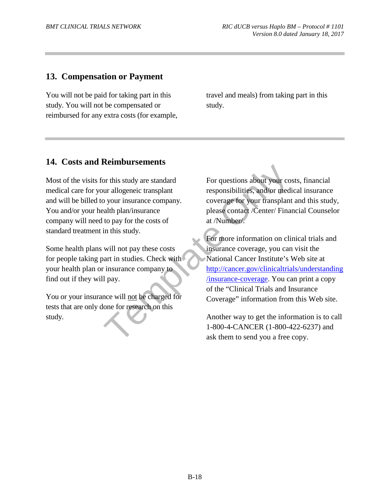## **13. Compensation or Payment**

You will not be paid for taking part in this study. You will not be compensated or reimbursed for any extra costs (for example, travel and meals) from taking part in this study.

#### **14. Costs and Reimbursements**

Most of the visits for this study are standard medical care for your allogeneic transplant and will be billed to your insurance company. You and/or your health plan/insurance company will need to pay for the costs of standard treatment in this study.

Some health plans will not pay these costs for people taking part in studies. Check with your health plan or insurance company to find out if they will pay.

You or your insurance will not be charged for tests that are only done for research on this study.

For questions about your costs, financial responsibilities, and/or medical insurance coverage for your transplant and this study, please contact /Center/ Financial Counselor at /Number/.

For this study are standard<br>
or this study are standard<br>
or allogeneic transplant<br>
or allogeneic transplant<br>
or power insurance company.<br>
alth plan/insurance<br>
to pay for the costs of<br>
in this study.<br>
For more information o For more information on clinical trials and insurance coverage, you can visit the National Cancer Institute's Web site at http://cancer.gov/clinicaltrials/understanding /insurance-coverage. You can print a copy of the "Clinical Trials and Insurance Coverage" information from this Web site.

Another way to get the information is to call 1-800-4**-**CANCER (1-800-422-6237) and ask them to send you a free copy.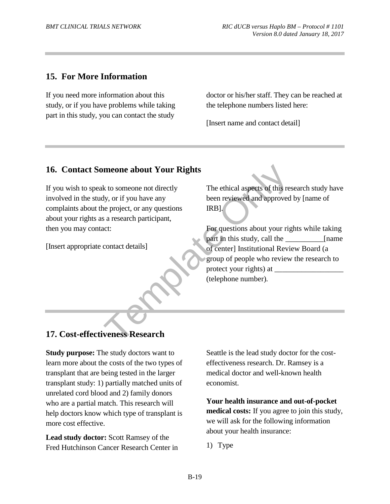## **15. For More Information**

If you need more information about this study, or if you have problems while taking part in this study, you can contact the study

doctor or his/her staff. They can be reached at the telephone numbers listed here:

[Insert name and contact detail]

## **16. Contact Someone about Your Rights**

If you wish to speak to someone not directly involved in the study, or if you have any complaints about the project, or any questions about your rights as a research participant, then you may contact:

[Insert appropriate contact details]

The ethical aspects of this research study have been reviewed and approved by [name of IRB].

meone about Your Rights<br>
k to someone not directly<br>
The ethical aspects of this res<br>
by, or if you have any<br>
been reviewed and approved<br>
are project, or any questions<br>
RB].<br>
s a research participant,<br>
For questions about y For questions about your rights while taking part in this study, call the [name] of center] Institutional Review Board (a group of people who review the research to protect your rights) at (telephone number)*.* 

#### **17. Cost-effectiveness Research**

**Study purpose:** The study doctors want to learn more about the costs of the two types of transplant that are being tested in the larger transplant study: 1) partially matched units of unrelated cord blood and 2) family donors who are a partial match. This research will help doctors know which type of transplant is more cost effective.

**Lead study doctor:** Scott Ramsey of the Fred Hutchinson Cancer Research Center in Seattle is the lead study doctor for the costeffectiveness research. Dr. Ramsey is a medical doctor and well-known health economist.

**Your health insurance and out-of-pocket medical costs:** If you agree to join this study, we will ask for the following information about your health insurance:

1) Type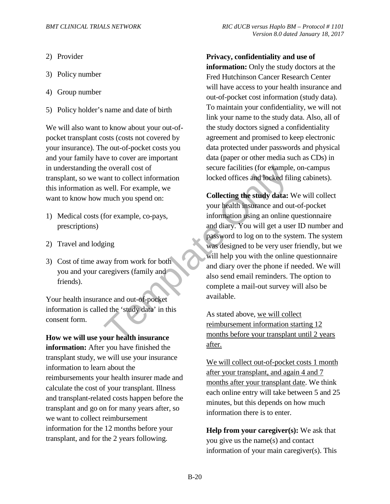- 2) Provider
- 3) Policy number
- 4) Group number
- 5) Policy holder's name and date of birth

We will also want to know about your out-ofpocket transplant costs (costs not covered by your insurance). The out-of-pocket costs you and your family have to cover are important in understanding the overall cost of transplant, so we want to collect information this information as well. For example, we want to know how much you spend on:

- 1) Medical costs (for example, co-pays, prescriptions)
- 2) Travel and lodging
- 3) Cost of time away from work for both you and your caregivers (family and friends).

Your health insurance and out-of-pocket information is called the 'study data' in this consent form.

**How we will use your health insurance information:** After you have finished the transplant study, we will use your insurance information to learn about the reimbursements your health insurer made and calculate the cost of your transplant. Illness and transplant-related costs happen before the transplant and go on for many years after, so we want to collect reimbursement information for the 12 months before your transplant, and for the 2 years following.

**Privacy, confidentiality and use of information:** Only the study doctors at the Fred Hutchinson Cancer Research Center will have access to your health insurance and out-of-pocket cost information (study data). To maintain your confidentiality, we will not link your name to the study data. Also, all of the study doctors signed a confidentiality agreement and promised to keep electronic data protected under passwords and physical data (paper or other media such as CDs) in secure facilities (for example, on-campus locked offices and locked filing cabinets).

EXERCT: The overall cost of the secure facilities (for example and to collect information<br>
well. For example, we<br>
much you spend on:<br>
for example, co-pays,<br>
for example, co-pays,<br>  $\frac{1}{2}$  collecting the study data:<br>  $\frac{$ **Collecting the study data:** We will collect your health insurance and out-of-pocket information using an online questionnaire and diary. You will get a user ID number and password to log on to the system. The system was designed to be very user friendly, but we will help you with the online questionnaire and diary over the phone if needed. We will also send email reminders. The option to complete a mail-out survey will also be available.

As stated above, we will collect reimbursement information starting 12 months before your transplant until 2 years after.

We will collect out-of-pocket costs 1 month after your transplant, and again 4 and 7 months after your transplant date. We think each online entry will take between 5 and 25 minutes, but this depends on how much information there is to enter.

**Help from your caregiver(s):** We ask that you give us the name(s) and contact information of your main caregiver(s). This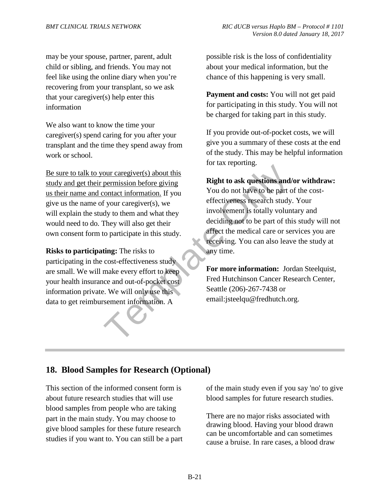may be your spouse, partner, parent, adult child or sibling, and friends. You may not feel like using the online diary when you're recovering from your transplant, so we ask that your caregiver(s) help enter this information

We also want to know the time your caregiver(s) spend caring for you after your transplant and the time they spend away from work or school.

Be sure to talk to your caregiver(s) about this study and get their permission before giving us their name and contact information. If you give us the name of your caregiver(s), we will explain the study to them and what they would need to do. They will also get their own consent form to participate in this study.

**Risks to participating:** The risks to participating in the cost-effectiveness study are small. We will make every effort to keep your health insurance and out-of-pocket cost information private. We will only use this data to get reimbursement information. A

possible risk is the loss of confidentiality about your medical information, but the chance of this happening is very small.

**Payment and costs:** You will not get paid for participating in this study. You will not be charged for taking part in this study.

If you provide out-of-pocket costs, we will give you a summary of these costs at the end of the study. This may be helpful information for tax reporting.

#### **Right to ask questions and/or withdraw:**

our caregiver(s) about this<br>
permission before giving<br>
contact information. If you<br>
f your caregiver(s), we<br>
dy to them and what they<br>
they will also get their<br>
to participate in this study.<br>
they will also get their<br>
to p You do not have to be part of the costeffectiveness research study. Your involvement is totally voluntary and deciding not to be part of this study will not affect the medical care or services you are receiving. You can also leave the study at any time.

**For more information:** Jordan Steelquist, Fred Hutchinson Cancer Research Center, Seattle (206)-267-7438 or email:jsteelqu@fredhutch.org.

## **18. Blood Samples for Research (Optional)**

This section of the informed consent form is about future research studies that will use blood samples from people who are taking part in the main study. You may choose to give blood samples for these future research studies if you want to. You can still be a part of the main study even if you say 'no' to give blood samples for future research studies.

There are no major risks associated with drawing blood. Having your blood drawn can be uncomfortable and can sometimes cause a bruise. In rare cases, a blood draw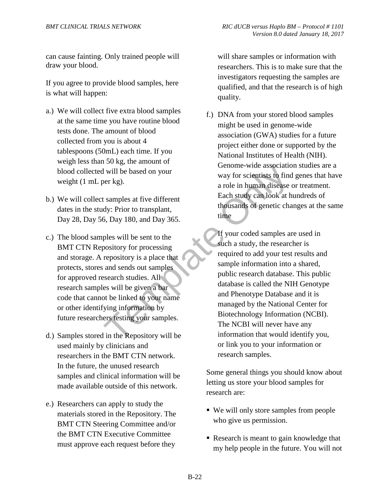can cause fainting. Only trained people will draw your blood.

If you agree to provide blood samples, here is what will happen:

- a.) We will collect five extra blood samples at the same time you have routine blood tests done. The amount of blood collected from you is about 4 tablespoons (50mL) each time. If you weigh less than 50 kg, the amount of blood collected will be based on your weight (1 mL per kg).
- b.) We will collect samples at five different dates in the study: Prior to transplant, Day 28, Day 56, Day 180, and Day 365.
- c.) The blood samples will be sent to the BMT CTN Repository for processing and storage. A repository is a place that protects, stores and sends out samples for approved research studies. All research samples will be given a bar code that cannot be linked to your name or other identifying information by future researchers testing your samples.
- d.) Samples stored in the Repository will be used mainly by clinicians and researchers in the BMT CTN network. In the future, the unused research samples and clinical information will be made available outside of this network.
- e.) Researchers can apply to study the materials stored in the Repository. The BMT CTN Steering Committee and/or the BMT CTN Executive Committee must approve each request before they

will share samples or information with researchers. This is to make sure that the investigators requesting the samples are qualified, and that the research is of high quality.

f.) DNA from your stored blood samples might be used in genome-wide association (GWA) studies for a future project either done or supported by the National Institutes of Health (NIH). Genome-wide association studies are a way for scientists to find genes that have a role in human disease or treatment. Each study can look at hundreds of thousands of genetic changes at the same time

For the Bendington of the Repository will be the Repository will be the total of Day 365.<br>
The Sach study can look at have associated the samples at five different Each study can look at have a second to the pository for p If your coded samples are used in such a study, the researcher is required to add your test results and sample information into a shared, public research database. This public database is called the NIH Genotype and Phenotype Database and it is managed by the National Center for Biotechnology Information (NCBI). The NCBI will never have any information that would identify you, or link you to your information or research samples.

> Some general things you should know about letting us store your blood samples for research are:

- We will only store samples from people who give us permission.
- Research is meant to gain knowledge that my help people in the future. You will not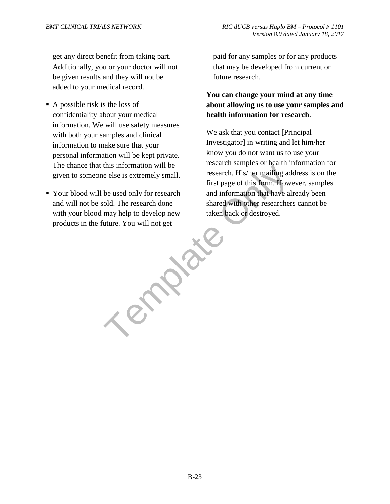get any direct benefit from taking part. Additionally, you or your doctor will not be given results and they will not be added to your medical record.

- $\blacksquare$  A possible risk is the loss of confidentiality about your medical information. We will use safety measures with both your samples and clinical information to make sure that your personal information will be kept private. The chance that this information will be given to someone else is extremely small.
- Your blood will be used only for research and will not be sold. The research done with your blood may help to develop new products in the future. You will not get

paid for any samples or for any products that may be developed from current or future research.

#### **You can change your mind at any time about allowing us to use your samples and health information for research**.

this information will be<br>
e else is extremely small.<br>
e else is extremely small.<br>
first page of this form. How<br>
be used only for research<br>
old. The research done<br>
may help to develop new<br>
taken back or destroyed.<br>
tuture. We ask that you contact [Principal Investigator] in writing and let him/her know you do not want us to use your research samples or health information for research. His/her mailing address is on the first page of this form. However, samples and information that have already been shared with other researchers cannot be taken back or destroyed.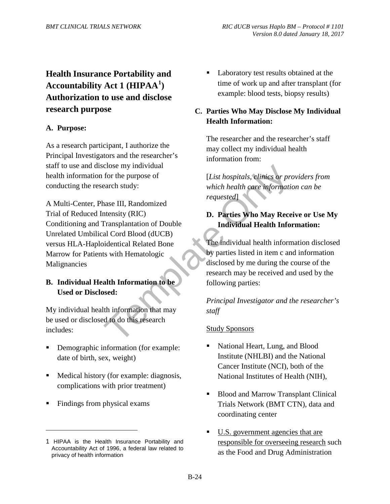## **Health Insurance Portability and Accountability Act 1 (HIPAA<sup>1</sup> ) Authorization to use and disclose research purpose**

#### **A. Purpose:**

As a research participant, I authorize the Principal Investigators and the researcher's staff to use and disclose my individual health information for the purpose of conducting the research study:

Color entity in the purpose of the purpose of the purpose of the purpose of the purpose of the purpose of the thin the transplantation of Double the all Cord Blood (dUCB) identical Related Bone<br>and Cord Blood (dUCB) in the A Multi-Center, Phase III, Randomized Trial of Reduced Intensity (RIC) Conditioning and Transplantation of Double Unrelated Umbilical Cord Blood (dUCB) versus HLA-Haploidentical Related Bone Marrow for Patients with Hematologic Malignancies

#### **B. Individual Health Information to be Used or Disclosed:**

My individual health information that may be used or disclosed to do this research includes:

- Demographic information (for example: date of birth, sex, weight).
- Medical history (for example: diagnosis, complications with prior treatment).
- Findings from physical exams.

 $\overline{a}$ 

 Laboratory test results obtained at the time of work up and after transplant (for example: blood tests, biopsy results).

#### **C. Parties Who May Disclose My Individual Health Information:**

The researcher and the researcher's staff may collect my individual health information from:

[*List hospitals, clinics or providers from which health care information can be requested*].

#### **D. Parties Who May Receive or Use My Individual Health Information:**

The individual health information disclosed by parties listed in item c and information disclosed by me during the course of the research may be received and used by the following parties:

*Principal Investigator and the researcher's staff*

#### Study Sponsors

- National Heart, Lung, and Blood Institute (NHLBI) and the National Cancer Institute (NCI), both of the National Institutes of Health (NIH),
- Blood and Marrow Transplant Clinical Trials Network (BMT CTN), data and coordinating center
- U.S. government agencies that are responsible for overseeing research such as the Food and Drug Administration

<sup>1</sup> HIPAA is the Health Insurance Portability and Accountability Act of 1996, a federal law related to privacy of health information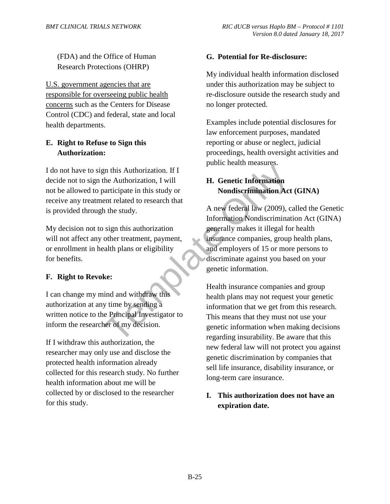(FDA) and the Office of Human Research Protections (OHRP)

U.S. government agencies that are responsible for overseeing public health concerns such as the Centers for Disease Control (CDC) and federal, state and local health departments.

## **E. Right to Refuse to Sign this Authorization:**

I do not have to sign this Authorization. If I decide not to sign the Authorization, I will not be allowed to participate in this study or receive any treatment related to research that is provided through the study.

My decision not to sign this authorization will not affect any other treatment, payment, or enrollment in health plans or eligibility for benefits.

#### **F. Right to Revoke:**

I can change my mind and withdraw this authorization at any time by sending a written notice to the Principal Investigator to inform the researcher of my decision.

If I withdraw this authorization, the researcher may only use and disclose the protected health information already collected for this research study. No further health information about me will be collected by or disclosed to the researcher for this study.

#### **G. Potential for Re-disclosure:**

My individual health information disclosed under this authorization may be subject to re-disclosure outside the research study and no longer protected.

Examples include potential disclosures for law enforcement purposes, mandated reporting or abuse or neglect, judicial proceedings, health oversight activities and public health measures.

## **H. Genetic Information Nondiscrimination Act (GINA)**

EXECUTE: The Authorization, If I<br>
The Authorization, I will<br>
The Authorization, I will<br>
The Authorization Central in this study or<br>
A new federal law (2009), c<br>
Information Nondiscrimination Act<br>
Sign this authorization<br>
S A new federal law (2009), called the Genetic Information Nondiscrimination Act (GINA) generally makes it illegal for health insurance companies, group health plans, and employers of 15 or more persons to discriminate against you based on your genetic information.

Health insurance companies and group health plans may not request your genetic information that we get from this research. This means that they must not use your genetic information when making decisions regarding insurability. Be aware that this new federal law will not protect you against genetic discrimination by companies that sell life insurance, disability insurance, or long-term care insurance.

#### **I. This authorization does not have an expiration date.**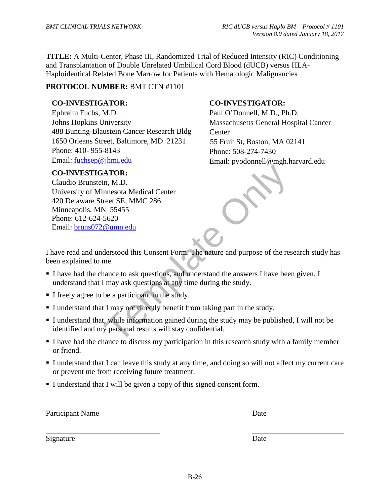**TITLE:** A Multi-Center, Phase III, Randomized Trial of Reduced Intensity (RIC) Conditioning and Transplantation of Double Unrelated Umbilical Cord Blood (dUCB) versus HLA-Haploidentical Related Bone Marrow for Patients with Hematologic Malignancies

#### **PROTOCOL NUMBER:** BMT CTN #1101

#### **CO-INVESTIGATOR:**

Ephraim Fuchs, M.D. Johns Hopkins University 488 Bunting-Blaustein Cancer Research Bldg 1650 Orleans Street, Baltimore, MD 21231 Phone: 410- 955-8143 Email: fuchsep@jhmi.edu

#### **CO-INVESTIGATOR:**

ATOR:<br>
in, M.D.<br>
nnesota Medical Center<br>
reet SE, MMC 286<br>
V 55455<br>
5620<br>
<u>@umn.edu</u><br>
derstood this Consent Form. The nature and purpose of the res<br>
me.<br>
nance to ask questions, and understand the answers I have been<br>
may Claudio Brunstein, M.D. University of Minnesota Medical Center 420 Delaware Street SE, MMC 286 Minneapolis, MN 55455 Phone: 612-624-5620 Email: bruns072@umn.edu

#### **CO-INVESTIGATOR:**

Paul O'Donnell, M.D., Ph.D. Massachusetts General Hospital Cancer **Center** 55 Fruit St, Boston, MA 02141 Phone: 508-274-7430 Email: pvodonnell@mgh.harvard.edu

I have read and understood this Consent Form. The nature and purpose of the research study has been explained to me.

- I have had the chance to ask questions, and understand the answers I have been given. I understand that I may ask questions at any time during the study.
- I freely agree to be a participant in the study.
- I understand that I may not directly benefit from taking part in the study.
- I understand that, while information gained during the study may be published, I will not be identified and my personal results will stay confidential.
- I have had the chance to discuss my participation in this research study with a family member or friend.
- I understand that I can leave this study at any time, and doing so will not affect my current care or prevent me from receiving future treatment.
- I understand that I will be given a copy of this signed consent form.

Participant Name Date

Signature Date

 $\overline{a}$ 

 $\overline{a}$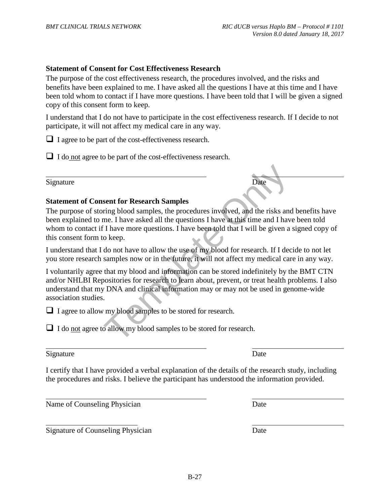#### **Statement of Consent for Cost Effectiveness Research**

The purpose of the cost effectiveness research, the procedures involved, and the risks and benefits have been explained to me. I have asked all the questions I have at this time and I have been told whom to contact if I have more questions. I have been told that I will be given a signed copy of this consent form to keep.

I understand that I do not have to participate in the cost effectiveness research. If I decide to not participate, it will not affect my medical care in any way.

 $\Box$  I agree to be part of the cost-effectiveness research.

 $\Box$  I do not agree to be part of the cost-effectiveness research.

Signature Date

 $\overline{a}$ 

#### **Statement of Consent for Research Samples**

The purpose of storing blood samples, the procedures involved, and the risks and benefits have been explained to me. I have asked all the questions I have at this time and I have been told whom to contact if I have more questions. I have been told that I will be given a signed copy of this consent form to keep.

I understand that I do not have to allow the use of my blood for research. If I decide to not let you store research samples now or in the future, it will not affect my medical care in any way.

Date<br>
sent for Research Samples<br>
ring blood samples, the procedures involved, and the risks and<br>
me. I have asked all the questions I have at this time and I have<br>
if I have more questions. I have been told that I will be I voluntarily agree that my blood and information can be stored indefinitely by the BMT CTN and/or NHLBI Repositories for research to learn about, prevent, or treat health problems. I also understand that my DNA and clinical information may or may not be used in genome-wide association studies.

 $\Box$  I agree to allow my blood samples to be stored for research.

 $\Box$  I do <u>not</u> agree to allow my blood samples to be stored for research.

#### Signature Date

 $\overline{a}$ 

 $\overline{a}$ 

 $\overline{a}$ 

I certify that I have provided a verbal explanation of the details of the research study, including the procedures and risks. I believe the participant has understood the information provided.

Name of Counseling Physician Date

Signature of Counseling Physician Date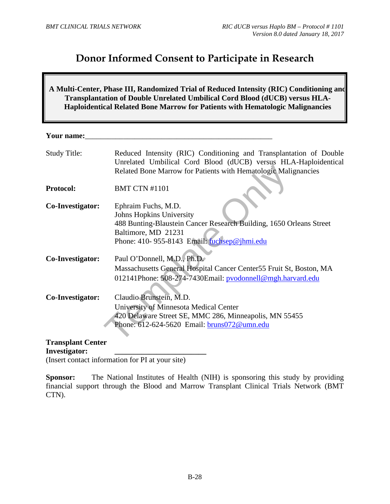## **Donor Informed Consent to Participate in Research**

**A Multi-Center, Phase III, Randomized Trial of Reduced Intensity (RIC) Conditioning and Transplantation of Double Unrelated Umbilical Cord Blood (dUCB) versus HLA-Haploidentical Related Bone Marrow for Patients with Hematologic Malignancies** 

**Your name:** 

| <b>Study Title:</b> | Reduced Intensity (RIC) Conditioning and Transplantation of Double<br>Unrelated Umbilical Cord Blood (dUCB) versus HLA-Haploidentical<br>Related Bone Marrow for Patients with Hematologic Malignancies |
|---------------------|---------------------------------------------------------------------------------------------------------------------------------------------------------------------------------------------------------|
| <b>Protocol:</b>    | <b>BMT CTN #1101</b>                                                                                                                                                                                    |
| Co-Investigator:    | Ephraim Fuchs, M.D.<br><b>Johns Hopkins University</b><br>488 Bunting-Blaustein Cancer Research Building, 1650 Orleans Street<br>Baltimore, MD 21231<br>Phone: 410-955-8143 Email: fuchsep@jhmi.edu     |
| Co-Investigator:    | Paul O'Donnell, M.D., Ph.D.<br>Massachusetts General Hospital Cancer Center 55 Fruit St, Boston, MA<br>012141Phone: 508-274-7430Email: pvodonnell@mgh.harvard.edu                                       |
| Co-Investigator:    | Claudio Brunstein, M.D.<br>University of Minnesota Medical Center<br>420 Delaware Street SE, MMC 286, Minneapolis, MN 55455<br>Phone: 612-624-5620 Email: <b>bruns072@umn.edu</b>                       |
| Transplant Center   |                                                                                                                                                                                                         |

**Transplant Center Investigator: \_\_\_\_\_\_\_\_\_\_\_\_\_\_\_\_\_\_\_\_\_\_\_\_** 

(Insert contact information for PI at your site)

**Sponsor:** The National Institutes of Health (NIH) is sponsoring this study by providing financial support through the Blood and Marrow Transplant Clinical Trials Network (BMT CTN).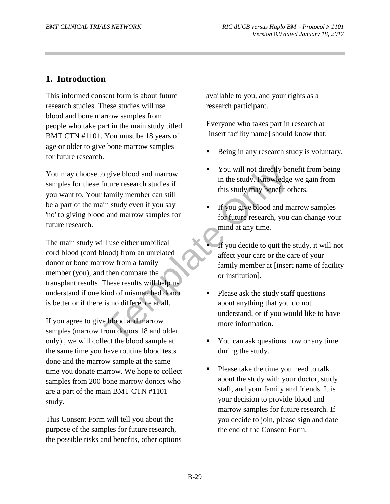## **1. Introduction**

This informed consent form is about future research studies. These studies will use blood and bone marrow samples from people who take part in the main study titled BMT CTN #1101. You must be 18 years of age or older to give bone marrow samples for future research.

You may choose to give blood and marrow samples for these future research studies if you want to. Your family member can still be a part of the main study even if you say 'no' to giving blood and marrow samples for future research.

For the search studies if<br>
in the study. Knowledge<br>
in the study. Knowledge<br>
in study even if you say<br>
in the study may benefit of<br>
in study member can still<br>
in study may benefit of<br>
in study may benefit of<br>
this study ma The main study will use either umbilical cord blood (cord blood) from an unrelated donor or bone marrow from a family member (you), and then compare the transplant results. These results will help us understand if one kind of mismatched donor is better or if there is no difference at all.

If you agree to give blood and marrow samples (marrow from donors 18 and older only) , we will collect the blood sample at the same time you have routine blood tests done and the marrow sample at the same time you donate marrow. We hope to collect samples from 200 bone marrow donors who are a part of the main BMT CTN #1101 study.

This Consent Form will tell you about the purpose of the samples for future research, the possible risks and benefits, other options available to you, and your rights as a research participant.

Everyone who takes part in research at [insert facility name] should know that:

- Being in any research study is voluntary.
- You will not directly benefit from being in the study. Knowledge we gain from this study may benefit others.
- If you give blood and marrow samples for future research, you can change your mind at any time.
- If you decide to quit the study, it will not affect your care or the care of your family member at [insert name of facility or institution].
- Please ask the study staff questions about anything that you do not understand, or if you would like to have more information.
- You can ask questions now or any time during the study.
- Please take the time you need to talk about the study with your doctor, study staff, and your family and friends. It is your decision to provide blood and marrow samples for future research. If you decide to join, please sign and date the end of the Consent Form.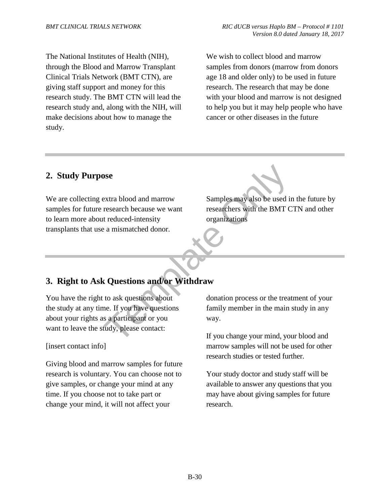The National Institutes of Health (NIH), through the Blood and Marrow Transplant Clinical Trials Network (BMT CTN), are giving staff support and money for this research study. The BMT CTN will lead the research study and, along with the NIH, will make decisions about how to manage the study.

We wish to collect blood and marrow samples from donors (marrow from donors age 18 and older only) to be used in future research. The research that may be done with your blood and marrow is not designed to help you but it may help people who have cancer or other diseases in the future

## **2. Study Purpose**

Somework<br>
Extra blood and marrow<br>
Testarch because we want<br>
Testarchers with the BMT C<br>
organizations<br>
a mismatched donor.<br>
<br> **COLLESCONS ANOTES AND CONSECUTE ON THE CONSECUTE ON A CONSECUTE ON A CONSECUTE ON A CONSECUTE** We are collecting extra blood and marrow samples for future research because we want to learn more about reduced-intensity transplants that use a mismatched donor.

Samples may also be used in the future by researchers with the BMT CTN and other organizations

## **3. Right to Ask Questions and/or Withdraw**

You have the right to ask questions about the study at any time. If you have questions about your rights as a participant or you want to leave the study, please contact:

#### [insert contact info]

Giving blood and marrow samples for future research is voluntary. You can choose not to give samples, or change your mind at any time. If you choose not to take part or change your mind, it will not affect your

donation process or the treatment of your family member in the main study in any way.

If you change your mind, your blood and marrow samples will not be used for other research studies or tested further.

Your study doctor and study staff will be available to answer any questions that you may have about giving samples for future research.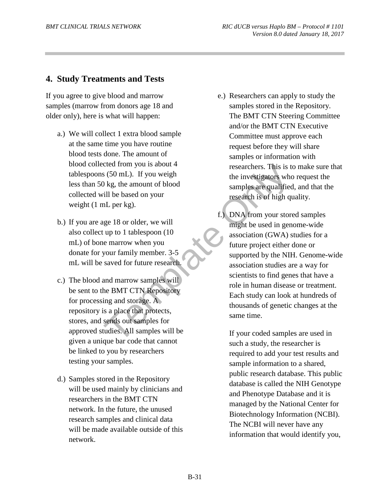## **4. Study Treatments and Tests**

If you agree to give blood and marrow samples (marrow from donors age 18 and older only), here is what will happen:

- a.) We will collect 1 extra blood sample at the same time you have routine blood tests done. The amount of blood collected from you is about 4 tablespoons (50 mL). If you weigh less than 50 kg, the amount of blood collected will be based on your weight (1 mL per kg).
- b.) If you are age 18 or older, we will also collect up to 1 tablespoon (10 mL) of bone marrow when you donate for your family member. 3-5 mL will be saved for future research.
- c.) The blood and marrow samples will be sent to the BMT CTN Repository for processing and storage. A repository is a place that protects, stores, and sends out samples for approved studies. All samples will be given a unique bar code that cannot be linked to you by researchers testing your samples.
- d.) Samples stored in the Repository will be used mainly by clinicians and researchers in the BMT CTN network. In the future, the unused research samples and clinical data will be made available outside of this network.
- e.) Researchers can apply to study the samples stored in the Repository. The BMT CTN Steering Committee and/or the BMT CTN Executive Committee must approve each request before they will share samples or information with researchers. This is to make sure that the investigators who request the samples are qualified, and that the research is of high quality.
- Examples the BMT CTN Repository<br>
in the investigators who samples are qualified<br>
ill be based on your<br>
in the investigators who samples are qualified<br>
research is of high qualified<br>
research is of high qualified<br>
research f.) DNA from your stored samples might be used in genome-wide association (GWA) studies for a future project either done or supported by the NIH. Genome-wide association studies are a way for scientists to find genes that have a role in human disease or treatment. Each study can look at hundreds of thousands of genetic changes at the same time.

If your coded samples are used in such a study, the researcher is required to add your test results and sample information to a shared, public research database. This public database is called the NIH Genotype and Phenotype Database and it is managed by the National Center for Biotechnology Information (NCBI). The NCBI will never have any information that would identify you,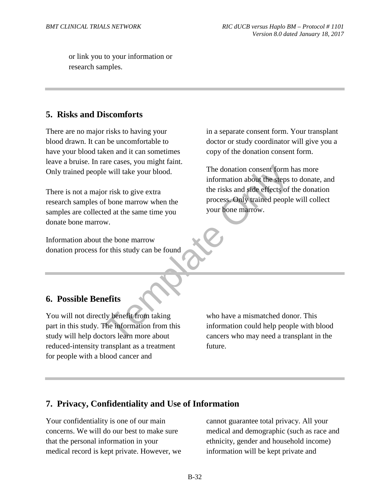or link you to your information or research samples.

## **5. Risks and Discomforts**

There are no major risks to having your blood drawn. It can be uncomfortable to have your blood taken and it can sometimes leave a bruise. In rare cases, you might faint. Only trained people will take your blood.

There is not a major risk to give extra research samples of bone marrow when the samples are collected at the same time you donate bone marrow.

Information about the bone marrow donation process for this study can be found in a separate consent form. Your transplant doctor or study coordinator will give you a copy of the donation consent form.

EXERCISE THE MONET THE SERVICE OF THE SERVICE OF THE SERVICE OF THE SERVICE OF STATE ORDER THE THE SERVICE OF SERVICE THE SERVICE OF THE SERVICE OF THE SERVICE OF THE SERVICE OF THE SERVICE OF THE SERVICE OF THE SERVICE OF The donation consent form has more information about the steps to donate, and the risks and side effects of the donation process. Only trained people will collect your bone marrow.

## **6. Possible Benefits**

You will not directly benefit from taking part in this study. The information from this study will help doctors learn more about reduced-intensity transplant as a treatment for people with a blood cancer and

who have a mismatched donor. This information could help people with blood cancers who may need a transplant in the future.

#### **7. Privacy, Confidentiality and Use of Information**

Your confidentiality is one of our main concerns. We will do our best to make sure that the personal information in your medical record is kept private. However, we cannot guarantee total privacy. All your medical and demographic (such as race and ethnicity, gender and household income) information will be kept private and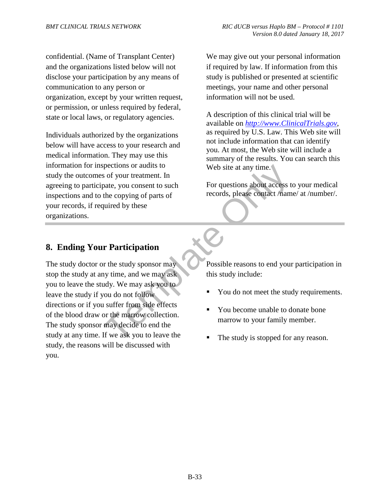confidential. (Name of Transplant Center) and the organizations listed below will not disclose your participation by any means of communication to any person or organization, except by your written request, or permission, or unless required by federal, state or local laws, or regulatory agencies.

Individuals authorized by the organizations below will have access to your research and medical information. They may use this information for inspections or audits to study the outcomes of your treatment. In agreeing to participate, you consent to such inspections and to the copying of parts of your records, if required by these organizations.

We may give out your personal information if required by law. If information from this study is published or presented at scientific meetings, your name and other personal information will not be used.

A description of this clinical trial will be available on *http://www.ClinicalTrials.gov*, as required by U.S. Law. This Web site will not include information that can identify you. At most, the Web site will include a summary of the results. You can search this Web site at any time.

For questions about access to your medical records, please contact /name/ at /number/.

## **8. Ending Your Participation**

France Contact The Sections of a vertex of your treatment. In<br>the copying of parts of<br>the copying of parts of<br>the copying of parts of<br>records, please contact /nam<br>puired by these<br> $\mathbf{r}$ <br>**Trance of the study sponsor may**<br> The study doctor or the study sponsor may stop the study at any time, and we may ask you to leave the study. We may ask you to leave the study if you do not follow directions or if you suffer from side effects of the blood draw or the marrow collection. The study sponsor may decide to end the study at any time. If we ask you to leave the study, the reasons will be discussed with you.

Possible reasons to end your participation in this study include:

- You do not meet the study requirements.
- You become unable to donate bone marrow to your family member.
- The study is stopped for any reason.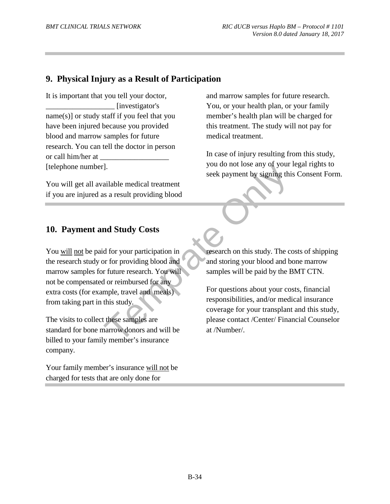## **9. Physical Injury as a Result of Participation**

It is important that you tell your doctor, \_\_\_\_\_\_\_\_\_\_\_\_\_\_\_\_\_\_ [investigator's name(s)] or study staff if you feel that you have been injured because you provided blood and marrow samples for future research. You can tell the doctor in person or call him/her at [telephone number].

You will get all available medical treatment if you are injured as a result providing blood and marrow samples for future research. You, or your health plan, or your family member's health plan will be charged for this treatment. The study will not pay for medical treatment.

In case of injury resulting from this study, you do not lose any of your legal rights to seek payment by signing this Consent Form.

#### **10. Payment and Study Costs**

Fig. 3 you do not lose any of your<br>seek payment by signing this<br>satisfied medical treatment<br>and Study Costs<br>d for your participation in<br>or for providing blood and<br>f inture research. You will<br>d or reimbursed for any<br>mple, t You will not be paid for your participation in the research study or for providing blood and marrow samples for future research. You will not be compensated or reimbursed for any extra costs (for example, travel and meals) from taking part in this study.

The visits to collect these samples are standard for bone marrow donors and will be billed to your family member's insurance company.

Your family member's insurance will not be charged for tests that are only done for

research on this study. The costs of shipping and storing your blood and bone marrow samples will be paid by the BMT CTN.

For questions about your costs, financial responsibilities, and/or medical insurance coverage for your transplant and this study, please contact /Center/ Financial Counselor at /Number/.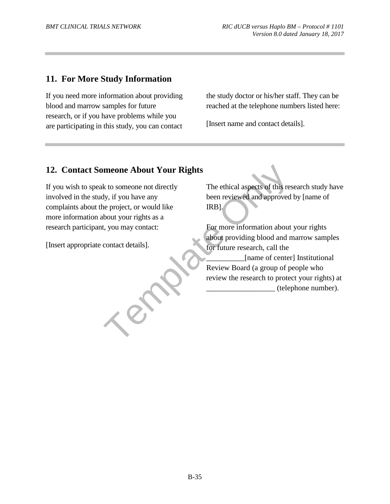## **11. For More Study Information**

If you need more information about providing blood and marrow samples for future research, or if you have problems while you are participating in this study, you can contact the study doctor or his/her staff. They can be reached at the telephone numbers listed here:

[Insert name and contact details].

## **12. Contact Someone About Your Rights**

meone About Your Rights<br>
k to someone not directly<br>
the ethical aspects of this respect, or would like<br>
the project, or would like<br>
the project, or would like<br>
to some and approved<br>
to the project of this as a<br>
t, you may If you wish to speak to someone not directly involved in the study, if you have any complaints about the project, or would like more information about your rights as a research participant, you may contact:

[Insert appropriate contact details].

The ethical aspects of this research study have been reviewed and approved by [name of IRB].

For more information about your rights about providing blood and marrow samples for future research, call the

\_\_\_\_\_\_\_\_\_\_[name of center] Institutional Review Board (a group of people who review the research to protect your rights) at \_\_\_\_\_\_\_\_\_\_\_\_\_\_\_\_\_\_ (telephone number).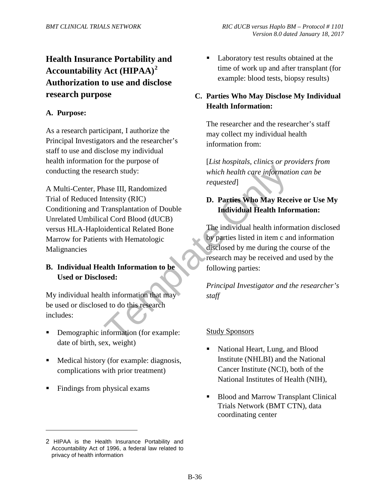# **Health Insurance Portability and Accountability Act (HIPAA) 2 Authorization to use and disclose research purpose**

#### **A. Purpose:**

As a research participant, I authorize the Principal Investigators and the researcher's staff to use and disclose my individual health information for the purpose of conducting the research study:

Exercise the morth of the Study Sponsors (Study Sponsors)<br>
Transplantation of Double<br>
III, Randomized<br>
Internation of Double<br>
Individual Health Information of Double<br>
Individual Health Information and Grod Blood (dUCB)<br>
Si A Multi-Center, Phase III, Randomized Trial of Reduced Intensity (RIC) Conditioning and Transplantation of Double Unrelated Umbilical Cord Blood (dUCB) versus HLA-Haploidentical Related Bone Marrow for Patients with Hematologic Malignancies

#### **B. Individual Health Information to be Used or Disclosed:**

My individual health information that may be used or disclosed to do this research includes:

- Demographic information (for example: date of birth, sex, weight).
- Medical history (for example: diagnosis, complications with prior treatment).
- Findings from physical exams.

 $\overline{a}$ 

 Laboratory test results obtained at the time of work up and after transplant (for example: blood tests, biopsy results).

## **C. Parties Who May Disclose My Individual Health Information:**

The researcher and the researcher's staff may collect my individual health information from:

[*List hospitals, clinics or providers from which health care information can be requested*].

## **D. Parties Who May Receive or Use My Individual Health Information:**

The individual health information disclosed by parties listed in item c and information disclosed by me during the course of the research may be received and used by the following parties:

*Principal Investigator and the researcher's staff*

#### Study Sponsors

- National Heart, Lung, and Blood Institute (NHLBI) and the National Cancer Institute (NCI), both of the National Institutes of Health (NIH),
- Blood and Marrow Transplant Clinical Trials Network (BMT CTN), data coordinating center

<sup>2</sup> HIPAA is the Health Insurance Portability and Accountability Act of 1996, a federal law related to privacy of health information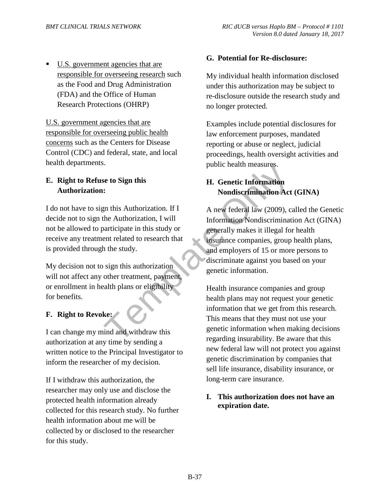U.S. government agencies that are responsible for overseeing research such as the Food and Drug Administration (FDA) and the Office of Human Research Protections (OHRP)

U.S. government agencies that are responsible for overseeing public health concerns such as the Centers for Disease Control (CDC) and federal, state, and local health departments.

## **E. Right to Refuse to Sign this Authorization:**

I do not have to sign this Authorization. If I decide not to sign the Authorization, I will not be allowed to participate in this study or receive any treatment related to research that is provided through the study.

My decision not to sign this authorization will not affect any other treatment, payment, or enrollment in health plans or eligibility for benefits.

## **F. Right to Revoke:**

I can change my mind and withdraw this authorization at any time by sending a written notice to the Principal Investigator to inform the researcher of my decision.

If I withdraw this authorization, the researcher may only use and disclose the protected health information already collected for this research study. No further health information about me will be collected by or disclosed to the researcher for this study.

#### **G. Potential for Re-disclosure:**

My individual health information disclosed under this authorization may be subject to re-disclosure outside the research study and no longer protected.

Examples include potential disclosures for law enforcement purposes, mandated reporting or abuse or neglect, judicial proceedings, health oversight activities and public health measures.

## **H. Genetic Information Nondiscrimination Act (GINA)**

Franch Communistyle and measures.<br>
Franch Communistyle and the Superintensityle and the Authorization of the Authorization of the Authorization<br>
State Authorization of the Authorization of the Authorization of the Sudy of<br> A new federal law (2009), called the Genetic Information Nondiscrimination Act (GINA) generally makes it illegal for health insurance companies, group health plans, and employers of 15 or more persons to discriminate against you based on your genetic information.

Health insurance companies and group health plans may not request your genetic information that we get from this research. This means that they must not use your genetic information when making decisions regarding insurability. Be aware that this new federal law will not protect you against genetic discrimination by companies that sell life insurance, disability insurance, or long-term care insurance.

#### **I. This authorization does not have an expiration date.**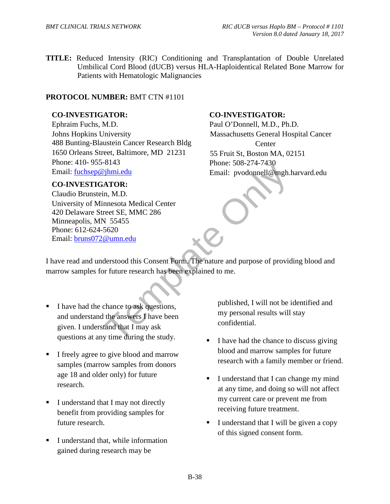**TITLE:** Reduced Intensity (RIC) Conditioning and Transplantation of Double Unrelated Umbilical Cord Blood (dUCB) versus HLA-Haploidentical Related Bone Marrow for Patients with Hematologic Malignancies

#### **PROTOCOL NUMBER:** BMT CTN #1101

#### **CO-INVESTIGATOR:**

Ephraim Fuchs, M.D. Johns Hopkins University 488 Bunting-Blaustein Cancer Research Bldg 1650 Orleans Street, Baltimore, MD 21231 Phone: 410- 955-8143 Email: fuchsep@jhmi.edu

#### **CO-INVESTIGATOR:**

Find Email: pvodonnell@mgh.<br>
in, M.D.<br>
in, M.D.<br>
interestand Medical Center<br>
reet SE, MMC 286<br>
Cumn.edu<br>
derstood this Consent Form. The nature and purpose of provid<br>
of the conservations,<br>
chance to ask questions,<br>
the an Claudio Brunstein, M.D. University of Minnesota Medical Center 420 Delaware Street SE, MMC 286 Minneapolis, MN 55455 Phone: 612-624-5620 Email: bruns072@umn.edu

#### **CO-INVESTIGATOR:**

Paul O'Donnell, M.D., Ph.D. Massachusetts General Hospital Cancer **Center** 55 Fruit St, Boston MA, 02151 Phone: 508-274-7430 Email: pvodonnell@mgh.harvard.edu

I have read and understood this Consent Form. The nature and purpose of providing blood and marrow samples for future research has been explained to me.

- I have had the chance to ask questions, and understand the answers I have been given. I understand that I may ask questions at any time during the study.
- I freely agree to give blood and marrow samples (marrow samples from donors age 18 and older only) for future research.
- I understand that I may not directly benefit from providing samples for future research.
- I understand that, while information gained during research may be

published, I will not be identified and my personal results will stay confidential.

- I have had the chance to discuss giving blood and marrow samples for future research with a family member or friend.
- I understand that I can change my mind at any time, and doing so will not affect my current care or prevent me from receiving future treatment.
- I understand that I will be given a copy of this signed consent form.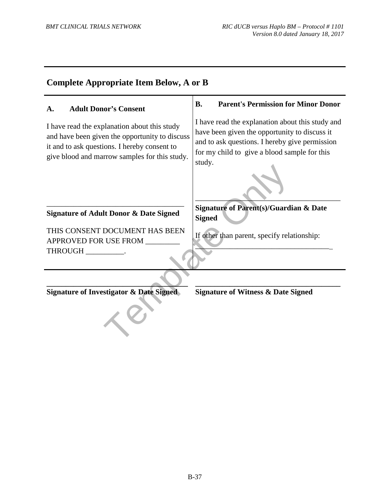| <b>Complete Appropriate Item Below, A or B</b>                                                                                                                                                  |                                                                                                                                                                                                               |  |
|-------------------------------------------------------------------------------------------------------------------------------------------------------------------------------------------------|---------------------------------------------------------------------------------------------------------------------------------------------------------------------------------------------------------------|--|
| <b>Adult Donor's Consent</b><br>A.                                                                                                                                                              | <b>Parent's Permission for Minor Donor</b><br><b>B.</b>                                                                                                                                                       |  |
| I have read the explanation about this study<br>and have been given the opportunity to discuss<br>it and to ask questions. I hereby consent to<br>give blood and marrow samples for this study. | I have read the explanation about this study and<br>have been given the opportunity to discuss it<br>and to ask questions. I hereby give permission<br>for my child to give a blood sample for this<br>study. |  |
| <b>Signature of Adult Donor &amp; Date Signed</b>                                                                                                                                               | <b>Signature of Parent(s)/Guardian &amp; Date</b><br><b>Signed</b>                                                                                                                                            |  |
| THIS CONSENT DOCUMENT HAS BEEN<br>APPROVED FOR USE FROM<br><b>THROUGH</b>                                                                                                                       | If other than parent, specify relationship:                                                                                                                                                                   |  |
| <b>Signature of Investigator &amp; Date Signed</b>                                                                                                                                              | <b>Signature of Witness &amp; Date Signed</b>                                                                                                                                                                 |  |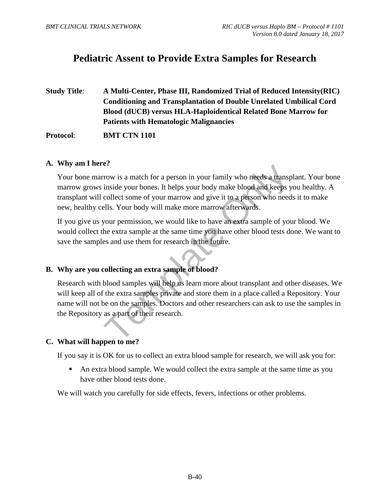## **Pediatric Assent to Provide Extra Samples for Research**

**Study Title**: **A Multi-Center, Phase III, Randomized Trial of Reduced Intensity(RIC) Conditioning and Transplantation of Double Unrelated Umbilical Cord Blood (dUCB) versus HLA-Haploidentical Related Bone Marrow for Patients with Hematologic Malignancies** 

**Protocol**: **BMT CTN 1101**

#### **A. Why am I here?**

Transists a match for a person in your family who needs a transp<br>inside your bones. It helps your body make blood and keeps y<br>collect some of your marrow and give it to a person who need<br>ells. Your body will make more marr Your bone marrow is a match for a person in your family who needs a transplant. Your bone marrow grows inside your bones. It helps your body make blood and keeps you healthy. A transplant will collect some of your marrow and give it to a person who needs it to make new, healthy cells. Your body will make more marrow afterwards.

If you give us your permission, we would like to have an extra sample of your blood. We would collect the extra sample at the same time you have other blood tests done. We want to save the samples and use them for research in the future.

#### **B. Why are you collecting an extra sample of blood?**

Research with blood samples will help us learn more about transplant and other diseases. We will keep all of the extra samples private and store them in a place called a Repository. Your name will not be on the samples. Doctors and other researchers can ask to use the samples in the Repository as a part of their research.

#### **C. What will happen to me?**

If you say it is OK for us to collect an extra blood sample for research, we will ask you for:

An extra blood sample. We would collect the extra sample at the same time as you have other blood tests done.

We will watch you carefully for side effects, fevers, infections or other problems.